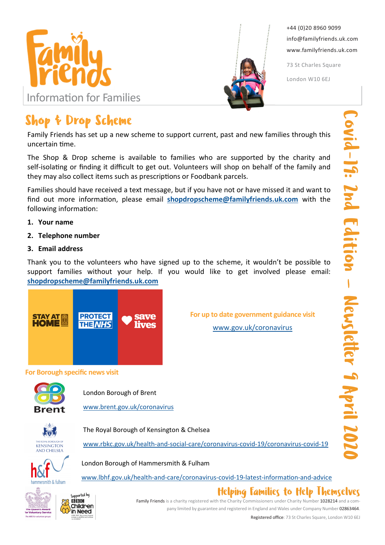



+44 (0)20 8960 9099 info@familyfriends.uk.com www.familyfriends.uk.com

73 St Charles Square

London W10 6EJ

# Shop & Drop Scheme

Family Friends has set up a new scheme to support current, past and new families through this  $uncertain$   $time$ .

The Shop & Drop scheme is available to families who are supported by the charity and self-isolating or finding it difficult to get out. Volunteers will shop on behalf of the family and they may also collect items such as prescriptions or Foodbank parcels.

Families should have received a text message, but if you have not or have missed it and want to find out more information, please email shopdropscheme@familyfriends.uk.com with the following information:

## 1. Your name

### 2. Telephone number

### 3. Email address

Thank you to the volunteers who have signed up to the scheme, it wouldn't be possible to support families without your help. If you would like to get involved please email: shopdropscheme@familyfriends.uk.com



For up to date government guidance visit

www.gov.uk/coronavirus

#### For Borough specific news visit



London Borough of Brent

www.brent.gov.uk/coronavirus

The Royal Borough of Kensington & Chelsea

London Borough of Hammersmith & Fulham



www.rbkc.gov.uk/health-and-social-care/coronavirus-covid-19/coronavirus-covid-19

www.lbhf.gov.uk/health-and-care/coronavirus-covid-19-latest-information-and-advice





Family Friends is a charity registered with the Charity Commissioners under Charity Number 1028214 and a company limited by guarantee and registered in England and Wales under Company Number 02863464.

Helping Families to Help Themselves